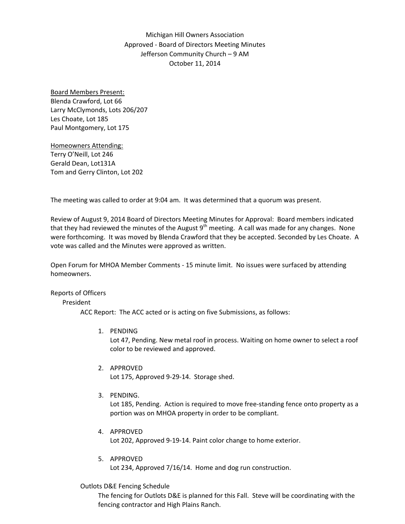Michigan Hill Owners Association Approved ‐ Board of Directors Meeting Minutes Jefferson Community Church – 9 AM October 11, 2014

Board Members Present: Blenda Crawford, Lot 66 Larry McClymonds, Lots 206/207 Les Choate, Lot 185 Paul Montgomery, Lot 175

Homeowners Attending: Terry O'Neill, Lot 246 Gerald Dean, Lot131A Tom and Gerry Clinton, Lot 202

The meeting was called to order at 9:04 am. It was determined that a quorum was present.

Review of August 9, 2014 Board of Directors Meeting Minutes for Approval: Board members indicated that they had reviewed the minutes of the August  $9<sup>th</sup>$  meeting. A call was made for any changes. None were forthcoming. It was moved by Blenda Crawford that they be accepted. Seconded by Les Choate. A vote was called and the Minutes were approved as written.

Open Forum for MHOA Member Comments ‐ 15 minute limit. No issues were surfaced by attending homeowners.

Reports of Officers

President

ACC Report: The ACC acted or is acting on five Submissions, as follows:

1. PENDING

Lot 47, Pending. New metal roof in process. Waiting on home owner to select a roof color to be reviewed and approved.

- 2. APPROVED Lot 175, Approved 9‐29‐14. Storage shed.
- 3. PENDING.

Lot 185, Pending. Action is required to move free‐standing fence onto property as a portion was on MHOA property in order to be compliant.

- 4. APPROVED Lot 202, Approved 9-19-14. Paint color change to home exterior.
- 5. APPROVED Lot 234, Approved 7/16/14. Home and dog run construction.

## Outlots D&E Fencing Schedule

The fencing for Outlots D&E is planned for this Fall. Steve will be coordinating with the fencing contractor and High Plains Ranch.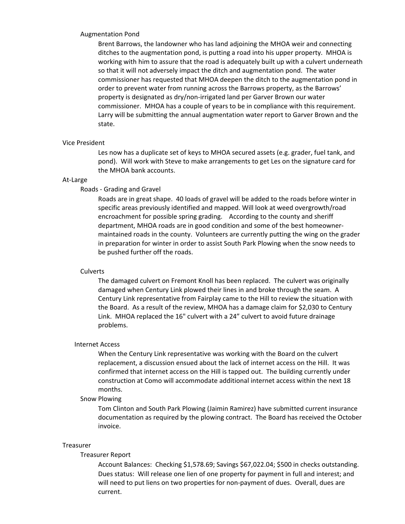### Augmentation Pond

Brent Barrows, the landowner who has land adjoining the MHOA weir and connecting ditches to the augmentation pond, is putting a road into his upper property. MHOA is working with him to assure that the road is adequately built up with a culvert underneath so that it will not adversely impact the ditch and augmentation pond. The water commissioner has requested that MHOA deepen the ditch to the augmentation pond in order to prevent water from running across the Barrows property, as the Barrows' property is designated as dry/non‐irrigated land per Garver Brown our water commissioner. MHOA has a couple of years to be in compliance with this requirement. Larry will be submitting the annual augmentation water report to Garver Brown and the state.

### Vice President

Les now has a duplicate set of keys to MHOA secured assets (e.g. grader, fuel tank, and pond). Will work with Steve to make arrangements to get Les on the signature card for the MHOA bank accounts.

#### At‐Large

# Roads ‐ Grading and Gravel

Roads are in great shape. 40 loads of gravel will be added to the roads before winter in specific areas previously identified and mapped. Will look at weed overgrowth/road encroachment for possible spring grading. According to the county and sheriff department, MHOA roads are in good condition and some of the best homeowner‐ maintained roads in the county. Volunteers are currently putting the wing on the grader in preparation for winter in order to assist South Park Plowing when the snow needs to be pushed further off the roads.

### Culverts

The damaged culvert on Fremont Knoll has been replaced. The culvert was originally damaged when Century Link plowed their lines in and broke through the seam. A Century Link representative from Fairplay came to the Hill to review the situation with the Board. As a result of the review, MHOA has a damage claim for \$2,030 to Century Link. MHOA replaced the 16" culvert with a 24" culvert to avoid future drainage problems.

### Internet Access

When the Century Link representative was working with the Board on the culvert replacement, a discussion ensued about the lack of internet access on the Hill. It was confirmed that internet access on the Hill is tapped out. The building currently under construction at Como will accommodate additional internet access within the next 18 months.

#### Snow Plowing

Tom Clinton and South Park Plowing (Jaimin Ramirez) have submitted current insurance documentation as required by the plowing contract. The Board has received the October invoice.

#### **Treasurer**

### Treasurer Report

Account Balances: Checking \$1,578.69; Savings \$67,022.04; \$500 in checks outstanding. Dues status: Will release one lien of one property for payment in full and interest; and will need to put liens on two properties for non-payment of dues. Overall, dues are current.